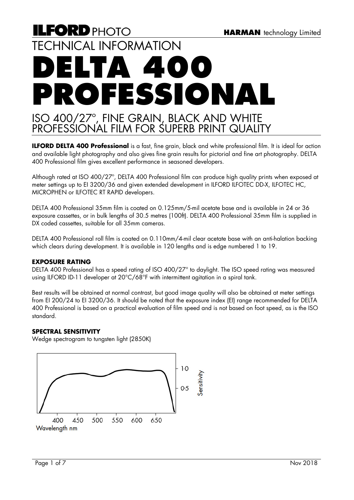# **ILFORD** PHOTO TECHNICAL INFORMATION **DELTA 400 PROFESSIONAL**  ISO 400/27º, FINE GRAIN, BLACK AND WHITE PROFESSIONAL FILM FOR SUPERB PRINT QUALITY

**ILFORD DELTA 400 Professional** is a fast, fine grain, black and white professional film. It is ideal for action and available light photography and also gives fine grain results for pictorial and fine art photography. DELTA 400 Professional film gives excellent performance in seasoned developers.

Although rated at ISO 400/27º, DELTA 400 Professional film can produce high quality prints when exposed at meter settings up to EI 3200/36 and given extended development in ILFORD ILFOTEC DD-X, ILFOTEC HC, MICROPHEN or ILFOTEC RT RAPID developers.

DELTA 400 Professional 35mm film is coated on 0.125mm/5-mil acetate base and is available in 24 or 36 exposure cassettes, or in bulk lengths of 30.5 metres (100ft). DELTA 400 Professional 35mm film is supplied in DX coded cassettes, suitable for all 35mm cameras.

DELTA 400 Professional roll film is coated on 0.110mm/4-mil clear acetate base with an anti-halation backing which clears during development. It is available in 120 lengths and is edge numbered 1 to 19.

#### **EXPOSURE RATING**

DELTA 400 Professional has a speed rating of ISO 400/27° to daylight. The ISO speed rating was measured using ILFORD ID-11 developer at 20°C/68°F with intermittent agitation in a spiral tank.

Best results will be obtained at normal contrast, but good image quality will also be obtained at meter settings from EI 200/24 to EI 3200/36. It should be noted that the exposure index (EI) range recommended for DELTA 400 Professional is based on a practical evaluation of film speed and is not based on foot speed, as is the ISO standard.

#### **SPECTRAL SENSITIVITY**

Wedge spectrogram to tungsten light (2850K)

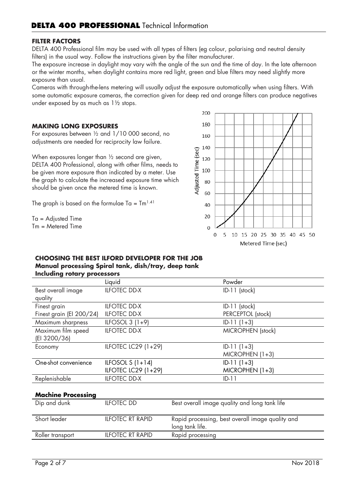#### **FILTER FACTORS**

DELTA 400 Professional film may be used with all types of filters (eg colour, polarising and neutral density filters) in the usual way. Follow the instructions given by the filter manufacturer.

The exposure increase in daylight may vary with the angle of the sun and the time of day. In the late afternoon or the winter months, when daylight contains more red light, green and blue filters may need slightly more exposure than usual.

Cameras with through-the-lens metering will usually adjust the exposure automatically when using filters. With some automatic exposure cameras, the correction given for deep red and orange filters can produce negatives under exposed by as much as 1½ stops.

#### **MAKING LONG EXPOSURES**

For exposures between ½ and 1/10 000 second, no adjustments are needed for reciprocity law failure.

When exposures longer than ½ second are given, DELTA 400 Professional, along with other films, needs to be given more exposure than indicated by a meter. Use the graph to calculate the increased exposure time which should be given once the metered time is known.

The graph is based on the formulae Ta =  $\text{Im}^{1.41}$ 

Ta = Adjusted Time  $Tm =$  Metered Time



#### **CHOOSING THE BEST ILFORD DEVELOPER FOR THE JOB Manual processing Spiral tank, dish/tray, deep tank Including rotary processors**

| <b>Illenative Lord &amp; Blackway</b> |                     |                   |  |  |  |  |  |  |
|---------------------------------------|---------------------|-------------------|--|--|--|--|--|--|
|                                       | Liquid              | Powder            |  |  |  |  |  |  |
| Best overall image                    | <b>ILFOTEC DD-X</b> | ID-11 (stock)     |  |  |  |  |  |  |
| quality                               |                     |                   |  |  |  |  |  |  |
| Finest grain                          | <b>ILFOTEC DD-X</b> | $ID-11$ (stock)   |  |  |  |  |  |  |
| Finest grain (El 200/24)              | <b>ILFOTEC DD-X</b> | PERCEPTOL (stock) |  |  |  |  |  |  |
| Maximum sharpness                     | ILFOSOL $3(1+9)$    | $ID-11(1+3)$      |  |  |  |  |  |  |
| Maximum film speed                    | <b>ILFOTEC DD-X</b> | MICROPHEN (stock) |  |  |  |  |  |  |
| (EI 3200/36)                          |                     |                   |  |  |  |  |  |  |
| Economy                               | ILFOTEC LC29 (1+29) | $ID-11(1+3)$      |  |  |  |  |  |  |
|                                       |                     | $MICROPHEN (1+3)$ |  |  |  |  |  |  |
| One-shot convenience                  | ILFOSOL $S(1+14)$   | $ID-11(1+3)$      |  |  |  |  |  |  |
|                                       | ILFOTEC LC29 (1+29) | $MICROPHEN (1+3)$ |  |  |  |  |  |  |
| Replenishable                         | <b>ILFOTEC DD-X</b> | $ID-11$           |  |  |  |  |  |  |
|                                       |                     |                   |  |  |  |  |  |  |

#### **Machine Processing**

| Dip and dunk     | <b>ILFOTEC DD</b>       | Best overall image quality and long tank life                       |
|------------------|-------------------------|---------------------------------------------------------------------|
| Short leader     | <b>ILFOTEC RT RAPID</b> | Rapid processing, best overall image quality and<br>long tank life. |
| Roller transport | <b>ILFOTEC RT RAPID</b> | Rapid processing                                                    |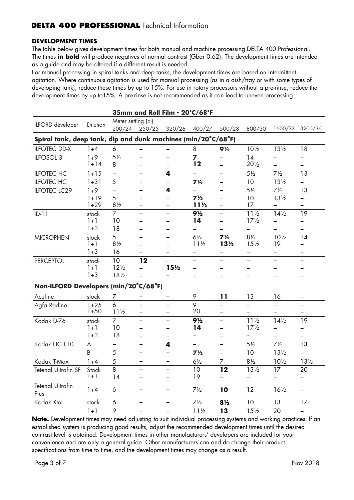#### **DEVELOPMENT TIMES**

The table below gives development times for both manual and machine processing DELTA 400 Professional. The times **in bold** will produce negatives of normal contrast (Gbar 0.62). The development times are intended as a guide and may be altered if a different result is needed.

For manual processing in spiral tanks and deep tanks, the development times are based on intermittent agitation. Where continuous agitation is used for manual processing (as in a dish/tray or with some types of developing tank), reduce these times by up to 15%. For use in rotary processors without a pre-rinse, reduce the development times by up to15%. A pre-rinse is not recommended as it can lead to uneven processing.

| 35mm and Roll Film - 20°C/68°F                                |                  |                     |                          |                          |                                   |                                   |                                   |                          |                          |
|---------------------------------------------------------------|------------------|---------------------|--------------------------|--------------------------|-----------------------------------|-----------------------------------|-----------------------------------|--------------------------|--------------------------|
| ILFORD developer                                              | Dilution         | Meter setting (EI)  |                          |                          |                                   |                                   |                                   |                          |                          |
|                                                               |                  | 200/24              | 250/25                   | 320/26                   | 400/27                            | 500/28                            | 800/30                            | 1600/33                  | 3200/36                  |
| Spiral tank, deep tank, dip and dunk machines (min/20°C/68°F) |                  |                     |                          |                          |                                   |                                   |                                   |                          |                          |
| <b>ILFOTEC DD-X</b>                                           | $1 + 4$          | 6                   |                          |                          | 8                                 | $9\frac{1}{2}$                    | $10\frac{1}{2}$                   | $13\frac{1}{2}$          | 18                       |
| ILFOSOL 3                                                     | $1 + 9$          | $5\frac{1}{2}$      | $\overline{\phantom{0}}$ | $\overline{\phantom{0}}$ | $\overline{z}$                    |                                   | 14                                |                          |                          |
|                                                               | $1 + 14$         | 8                   | —                        | $\overline{\phantom{0}}$ | 12                                | $\overline{\phantom{0}}$          | $20\frac{1}{2}$                   | $\overline{\phantom{0}}$ |                          |
| <b>ILFOTEC HC</b>                                             | $1 + 15$         | $\equiv$            | $\overline{\phantom{0}}$ | 4                        | $\overline{\phantom{0}}$          | ÷,                                | $5\frac{1}{2}$                    | $7\frac{1}{2}$           | 13                       |
| <b>ILFOTEC HC</b>                                             | $1 + 31$         | 5                   |                          |                          | $7\frac{1}{2}$                    |                                   | 10                                | $13\frac{1}{2}$          |                          |
| <b>ILFOTEC LC29</b>                                           | $1 + 9$          | $\overline{a}$      | $\overline{a}$           | 4                        |                                   | $\overline{a}$                    | $5\frac{1}{2}$                    | $7\frac{1}{2}$           | 13                       |
|                                                               | $1 + 19$         | 5                   |                          |                          | $7\frac{1}{2}$                    |                                   | 10                                | $13\frac{1}{2}$          |                          |
|                                                               | $1+29$           | $8\frac{1}{2}$      | $\overline{\phantom{0}}$ | $\overline{\phantom{0}}$ | $11\frac{1}{2}$                   | -                                 | 17                                |                          | -                        |
| $ID-11$                                                       | stock            | $\overline{7}$      | $\equiv$                 | $\equiv$                 | $9\frac{1}{2}$                    | $\equiv$                          | $11\frac{1}{2}$                   | $14\frac{1}{2}$          | 19                       |
|                                                               | $1 + 1$          | 10                  |                          |                          | 14                                |                                   | $17\frac{1}{2}$                   |                          |                          |
|                                                               | $1 + 3$          | 18                  |                          |                          | -                                 |                                   | -                                 |                          |                          |
| <b>MICROPHEN</b>                                              | stock<br>$1 + 1$ | 5<br>$8\frac{1}{2}$ | -                        | $\overline{\phantom{0}}$ | $6\frac{1}{2}$<br>$11\frac{1}{2}$ | $7\frac{1}{2}$<br>13 <sub>2</sub> | $8\frac{1}{2}$<br>$15\frac{1}{2}$ | $10\frac{1}{2}$<br>19    | 14                       |
|                                                               | $1 + 3$          | 16                  |                          |                          |                                   |                                   |                                   |                          |                          |
|                                                               |                  | 10                  | 12                       |                          |                                   |                                   |                                   |                          |                          |
| <b>PERCEPTOL</b>                                              | stock<br>$1 + 1$ | $12\frac{1}{2}$     |                          | 15 <sub>2</sub>          |                                   |                                   |                                   |                          |                          |
|                                                               | $1 + 3$          | $18\frac{1}{2}$     |                          |                          |                                   |                                   |                                   |                          |                          |
|                                                               |                  |                     |                          |                          |                                   |                                   |                                   |                          |                          |
| Non-ILFORD Developers (min/20°C/68°F)                         |                  |                     |                          |                          |                                   |                                   |                                   |                          |                          |
| Acufine                                                       | stock            | 7                   |                          |                          | 9                                 | 11                                | 13                                | 16                       |                          |
| Agfa Rodinal                                                  | $1 + 25$         | 6                   |                          | $\overline{\phantom{0}}$ | 9                                 |                                   | $\equiv$                          |                          |                          |
|                                                               | $1 + 50$         | $11\frac{1}{2}$     | $\overline{\phantom{0}}$ | $\overline{\phantom{0}}$ | 20                                |                                   | $\overline{\phantom{0}}$          |                          |                          |
| Kodak D-76                                                    | stock            | $\overline{7}$      | $\overline{\phantom{0}}$ |                          | $9\frac{1}{2}$                    | $\equiv$                          | $11\frac{1}{2}$                   | $14\frac{1}{2}$          | 19                       |
|                                                               | $1 + 1$          | 10                  | $\equiv$                 | $\overline{\phantom{0}}$ | 14                                | $\overline{\phantom{0}}$          | $17\frac{1}{2}$                   | $\overline{\phantom{0}}$ | -                        |
|                                                               | $1 + 3$          | 18                  | -                        |                          | -                                 | -                                 | -                                 |                          |                          |
| Kodak HC-110                                                  | A                |                     | $\equiv$                 | 4                        | $\overline{\phantom{0}}$          | $\equiv$                          | $5\frac{1}{2}$                    | $7\frac{1}{2}$           | 13                       |
|                                                               | B                | $\sqrt{5}$          | $\overline{\phantom{0}}$ | $\overline{\phantom{0}}$ | $7\frac{1}{2}$                    | $\overline{\phantom{0}}$          | 10                                | $13\frac{1}{2}$          | $\overline{\phantom{0}}$ |
| Kodak T-Max                                                   | $1 + 4$          | 5                   | $\overline{\phantom{0}}$ | $\overline{\phantom{0}}$ | $6\frac{1}{2}$                    | $\overline{7}$                    | $8\frac{1}{2}$                    | $10\frac{1}{2}$          | $13\frac{1}{2}$          |
| <b>Tetenal Ultrafin SF</b>                                    | Stock            | 8                   | $\overline{\phantom{0}}$ | $\overline{\phantom{0}}$ | 10                                | 12                                | $13\frac{1}{2}$                   | 17                       | 20                       |
|                                                               | $1 + 1$          | 14                  | $\qquad \qquad -$        | $\overline{\phantom{m}}$ | 19                                | Ξ.                                | $\equiv$                          | $\blacksquare$           | $\overline{\phantom{0}}$ |
| <b>Tetenal Ultrafin</b><br>Plus                               | $1 + 4$          | 6                   | —                        | $\overline{\phantom{m}}$ | $7\frac{1}{2}$                    | 10                                | 12                                | $16\frac{1}{2}$          | Ξ,                       |
| Kodak Xtol                                                    | stock            | $\boldsymbol{6}$    | $\overline{\phantom{0}}$ | $\overline{\phantom{0}}$ | $7\frac{1}{2}$                    | $8\frac{1}{2}$                    | 10                                | 13                       | 17                       |
|                                                               | $1 + 1$          | 9                   | $\overline{\phantom{0}}$ |                          | $11\frac{1}{2}$                   | 13                                | 15 <sub>2</sub>                   | 20                       | $\qquad \qquad -$        |

**Note.** Development times may need adjusting to suit individual processing systems and working practices. If an established system is producing good results, adjust the recommended development times until the desired contrast level is obtained. Development times in other manufacturers' developers are included for your convenience and are only a general guide. Other manufacturers can and do change their product specifications from time to time, and the development times may change as a result.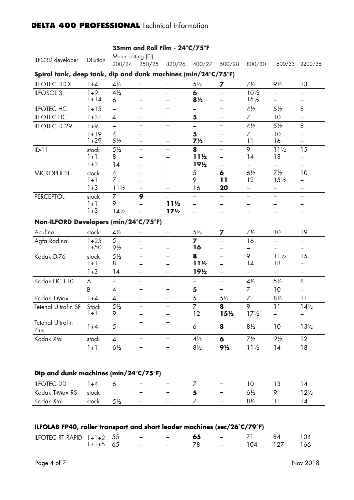| 35mm and Roll Film - 24°C/75°F                                |                      |                                            |                          |                          |                          |                          |                                    |                          |                 |
|---------------------------------------------------------------|----------------------|--------------------------------------------|--------------------------|--------------------------|--------------------------|--------------------------|------------------------------------|--------------------------|-----------------|
| ILFORD developer                                              | Dilution             | Meter setting (EI)<br>200/24               | 250/25                   | 320/26                   | 400/27                   | 500/28                   | 800/30                             | 1600/33                  | 3200/36         |
| Spiral tank, deep tank, dip and dunk machines (min/24°C/75°F) |                      |                                            |                          |                          |                          |                          |                                    |                          |                 |
| <b>ILFOTEC DD-X</b>                                           | $1 + 4$              | $4\frac{1}{2}$                             |                          |                          | $5\frac{1}{2}$           | 7                        | $7\frac{1}{2}$                     | $9\frac{1}{2}$           | 13              |
| ILFOSOL 3                                                     | $1+9$<br>$1 + 14$    | $4\frac{1}{2}$<br>6                        | —                        |                          | 6<br>$8\frac{1}{2}$      |                          | $10\frac{1}{2}$<br>15 <sub>2</sub> |                          |                 |
| <b>ILFOTEC HC</b>                                             | $1 + 15$             | $\overline{\phantom{0}}$                   |                          |                          |                          |                          | $4\frac{1}{2}$                     | $5\frac{1}{2}$           | 8               |
| <b>ILFOTEC HC</b>                                             | $1 + 31$             | 4                                          | —                        | $\overline{\phantom{0}}$ | 5                        | -                        | 7                                  | 10                       |                 |
| <b>ILFOTEC LC29</b>                                           | $1+9$                | $\overline{\phantom{0}}$                   | —                        | —                        | $\overline{\phantom{0}}$ | $\qquad \qquad -$        | $4\frac{1}{2}$                     | $5\frac{1}{2}$           | 8               |
|                                                               | $1 + 19$<br>$1 + 29$ | $\overline{\mathcal{A}}$<br>$5\frac{1}{2}$ |                          |                          | 5<br>$7\frac{1}{2}$      |                          | 7<br>11                            | 10<br>16                 |                 |
| $ID-11$                                                       | stock                | $5\frac{1}{2}$                             | —                        |                          | 8                        | $\overline{\phantom{0}}$ | 9                                  | $11\frac{1}{2}$          | 15              |
|                                                               | $1 + 1$              | 8                                          |                          |                          | 11½                      | —                        | 14                                 | 18                       |                 |
|                                                               | $1 + 3$              | 14                                         | —                        |                          | 19½                      | $\qquad \qquad$          |                                    |                          |                 |
| <b>MICROPHEN</b>                                              | stock                | $\overline{\mathcal{A}}$                   |                          |                          | 5                        | $\boldsymbol{6}$         | $6\frac{1}{2}$                     | $7\frac{1}{2}$           | 10              |
|                                                               | $1 + 1$              | 7                                          |                          |                          | 9                        | 11                       | 12                                 | 15 <sub>2</sub>          |                 |
|                                                               | $1 + 3$              | $11\frac{1}{2}$                            |                          |                          | 16                       | 20                       |                                    | -                        |                 |
| <b>PERCEPTOL</b>                                              | stock<br>$1 + 1$     | 7<br>9                                     | 9                        | $11\frac{1}{2}$          | —                        |                          | —                                  |                          |                 |
|                                                               | $1 + 3$              | $14\frac{1}{2}$                            |                          | 17 <sub>2</sub>          |                          |                          |                                    |                          |                 |
| Non-ILFORD Developers (min/24°C/75°F)                         |                      |                                            |                          |                          |                          |                          |                                    |                          |                 |
| Acufine                                                       | stock                | $4\frac{1}{2}$                             | -                        | —                        | $5\frac{1}{2}$           | 7                        | $7\frac{1}{2}$                     | 10                       | 19              |
| Agfa Rodinal                                                  | $1 + 25$             | 5                                          |                          |                          | 7                        |                          | 16                                 |                          |                 |
|                                                               | $1 + 50$             | $9\frac{1}{2}$                             |                          |                          | 16                       |                          |                                    |                          |                 |
| Kodak D-76                                                    | stock                | $5\frac{1}{2}$                             | $\overline{\phantom{0}}$ |                          | 8                        | —                        | 9                                  | $11\frac{1}{2}$          | 15              |
|                                                               | $1 + 1$              | 8                                          |                          |                          | 11½                      | -                        | 14                                 | 18                       |                 |
|                                                               | $1 + 3$              | 14                                         | $\overline{\phantom{0}}$ | $\overline{\phantom{0}}$ | 19 <sub>2</sub>          | —                        |                                    | $\overline{\phantom{0}}$ | —               |
| Kodak HC-110                                                  | A                    |                                            | —                        | —                        |                          | -                        | $4\frac{1}{2}$                     | $5\frac{1}{2}$           | 8               |
|                                                               | B                    | 4                                          | —                        | -                        | 5                        | —                        | $\overline{7}$                     | 10                       |                 |
| Kodak T-Max                                                   | $1 + 4$              | $\overline{\mathcal{A}}$                   | —                        | —                        | 5                        | $5\frac{1}{2}$           | $\overline{7}$                     | $8\frac{1}{2}$           | 11              |
| <b>Tetenal Ultrafin SF</b>                                    | Stock<br>$1+1$       | $5\frac{1}{2}$<br>9                        | —                        |                          | $\overline{7}$<br>12     | 8<br>$15\frac{1}{2}$     | 9<br>$17\frac{1}{2}$               | 11                       | $14\frac{1}{2}$ |
| <b>Tetenal Ultrafin</b><br>Plus                               | $1 + 4$              | $\sqrt{5}$                                 |                          |                          | 6                        | 8                        | $8\frac{1}{2}$                     | 10                       | $13\frac{1}{2}$ |
| Kodak Xtol                                                    | stock                | $\overline{\mathcal{A}}$                   |                          |                          | $4\frac{1}{2}$           | 6                        | $7\frac{1}{2}$                     | $9\frac{1}{2}$           | 12              |
|                                                               | $1 + 1$              | $6\frac{1}{2}$                             |                          |                          | $8\frac{1}{2}$           | $9\frac{1}{2}$           | $11\frac{1}{2}$                    | 14                       | 18              |
|                                                               |                      |                                            |                          |                          |                          |                          |                                    |                          |                 |
|                                                               |                      |                                            |                          |                          |                          |                          |                                    |                          |                 |
| Dip and dunk machines (min/24°C/75°F)                         |                      |                                            |                          |                          |                          |                          |                                    |                          |                 |
| <b>ILFOTEC DD</b>                                             | $1 + 4$              | 6                                          | -                        | -                        | 7                        | -                        | 10                                 | 13                       | 14              |
| Kodak T-Max RS                                                | stock                |                                            | -                        | —                        | 5                        | -                        | $6\frac{1}{2}$                     | 9                        | $12\frac{1}{2}$ |
| Kodak Xtol                                                    | stock                | $5\frac{1}{2}$                             |                          |                          | 7                        |                          | $8\frac{1}{2}$                     | 11                       | 14              |

## **DELTA 400 PROFESSIONAL Technical Information**

## **ILFOLAB FP40, roller transport and short leader machines (sec/26°C/79°F)**

| <b>ILFOTEC RT RAPID</b><br>$\perp$ | - 55 | $\sim$ $-$               | $\overline{\phantom{a}}$ | oa | $\overline{\phantom{a}}$ |      | V4                             |
|------------------------------------|------|--------------------------|--------------------------|----|--------------------------|------|--------------------------------|
|                                    | ပၪ   | $\overline{\phantom{a}}$ | $\overline{\phantom{m}}$ |    | $\overline{\phantom{a}}$ | 04 - | '66<br>$\cdot$ $\cdot$ $\cdot$ |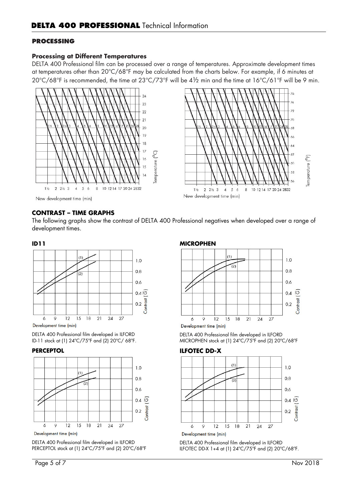#### **PROCESSING**

#### **Processing at Different Temperatures**

DELTA 400 Professional film can be processed over a range of temperatures. Approximate development times at temperatures other than 20°C/68°F may be calculated from the charts below. For example, if 6 minutes at 20°C/68°F is recommended, the time at 23°C/73°F will be 4½ min and the time at 16°C/61°F will be 9 min.





## **CONTRAST – TIME GRAPHS**

The following graphs show the contrast of DELTA 400 Professional negatives when developed over a range of development times.

#### **ID11**



Development time (min)

DELTA 400 Professional film developed in ILFORD ID-11 stock at (1) 24ºC/75ºF and (2) 20ºC/ 68ºF.

#### **PERCEPTOL**



Development time (min)

DELTA 400 Professional film developed in ILFORD PERCEPTOL stock at (1) 24ºC/75ºF and (2) 20ºC/68ºF

### **MICROPHEN**



Development time (min)

DELTA 400 Professional film developed in ILFORD MICROPHEN stock at (1) 24ºC/75ºF and (2) 20ºC/68ºF

#### **ILFOTEC DD-X**



DELTA 400 Professional film developed in ILFORD ILFOTEC DD-X 1+4 at (1) 24ºC/75ºF and (2) 20ºC/68ºF.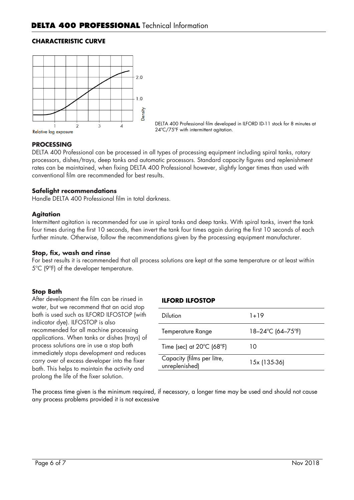#### **CHARACTERISTIC CURVE**



DELTA 400 Professional film developed in ILFORD ID-11 stock for 8 minutes at 24ºC/75ºF with intermittent agitation.

#### **PROCESSING**

DELTA 400 Professional can be processed in all types of processing equipment including spiral tanks, rotary processors, dishes/trays, deep tanks and automatic processors. Standard capacity figures and replenishment rates can be maintained, when fixing DELTA 400 Professional however, slightly longer times than used with conventional film are recommended for best results.

#### **Safelight recommendations**

Handle DELTA 400 Professional film in total darkness.

#### **Agitation**

Intermittent agitation is recommended for use in spiral tanks and deep tanks. With spiral tanks, invert the tank four times during the first 10 seconds, then invert the tank four times again during the first 10 seconds of each further minute. Otherwise, follow the recommendations given by the processing equipment manufacturer.

#### **Stop, fix, wash and rinse**

For best results it is recommended that all process solutions are kept at the same temperature or at least within 5ºC (9ºF) of the developer temperature.

#### **Stop Bath**

After development the film can be rinsed in water, but we recommend that an acid stop bath is used such as ILFORD ILFOSTOP (with indicator dye). ILFOSTOP is also recommended for all machine processing applications. When tanks or dishes (trays) of process solutions are in use a stop bath immediately stops development and reduces carry over of excess developer into the fixer bath. This helps to maintain the activity and prolong the life of the fixer solution.

#### **ILFORD ILFOSTOP**

| Dilution                                       | 1+19              |
|------------------------------------------------|-------------------|
| Temperature Range                              | 18–24°C (64–75°F) |
| Time (sec) at $20^{\circ}$ C (68 $^{\circ}$ F) | 10                |
| Capacity (films per litre,<br>unreplenished)   | 15x (135-36)      |
|                                                |                   |

The process time given is the minimum required, if necessary, a longer time may be used and should not cause any process problems provided it is not excessive